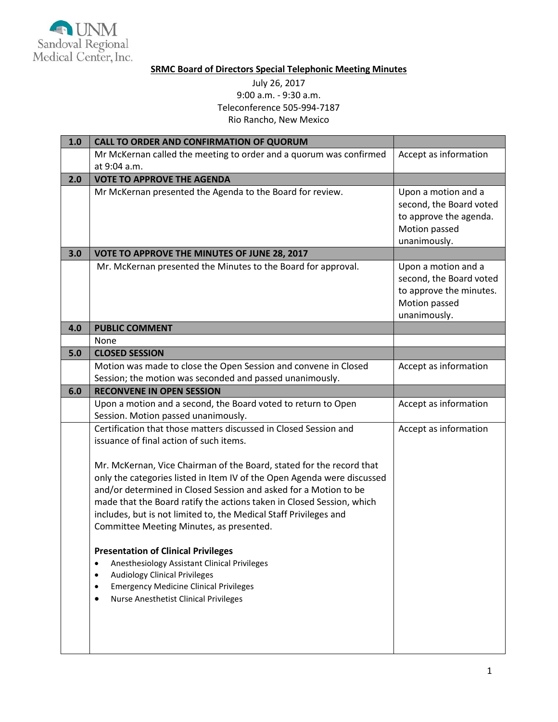

## **SRMC Board of Directors Special Telephonic Meeting Minutes**

## July 26, 2017 9:00 a.m. - 9:30 a.m. Teleconference 505-994-7187 Rio Rancho, New Mexico

| 1.0 | <b>CALL TO ORDER AND CONFIRMATION OF QUORUM</b>                                                                                                                                                                                                                                                                                                                                                               |                                                                                                            |
|-----|---------------------------------------------------------------------------------------------------------------------------------------------------------------------------------------------------------------------------------------------------------------------------------------------------------------------------------------------------------------------------------------------------------------|------------------------------------------------------------------------------------------------------------|
|     | Mr McKernan called the meeting to order and a quorum was confirmed                                                                                                                                                                                                                                                                                                                                            | Accept as information                                                                                      |
|     | at 9:04 a.m.                                                                                                                                                                                                                                                                                                                                                                                                  |                                                                                                            |
| 2.0 | <b>VOTE TO APPROVE THE AGENDA</b>                                                                                                                                                                                                                                                                                                                                                                             |                                                                                                            |
|     | Mr McKernan presented the Agenda to the Board for review.                                                                                                                                                                                                                                                                                                                                                     | Upon a motion and a<br>second, the Board voted<br>to approve the agenda.<br>Motion passed<br>unanimously.  |
| 3.0 | VOTE TO APPROVE THE MINUTES OF JUNE 28, 2017                                                                                                                                                                                                                                                                                                                                                                  |                                                                                                            |
|     | Mr. McKernan presented the Minutes to the Board for approval.                                                                                                                                                                                                                                                                                                                                                 | Upon a motion and a<br>second, the Board voted<br>to approve the minutes.<br>Motion passed<br>unanimously. |
| 4.0 | <b>PUBLIC COMMENT</b>                                                                                                                                                                                                                                                                                                                                                                                         |                                                                                                            |
|     | None                                                                                                                                                                                                                                                                                                                                                                                                          |                                                                                                            |
| 5.0 | <b>CLOSED SESSION</b>                                                                                                                                                                                                                                                                                                                                                                                         |                                                                                                            |
|     | Motion was made to close the Open Session and convene in Closed                                                                                                                                                                                                                                                                                                                                               | Accept as information                                                                                      |
|     | Session; the motion was seconded and passed unanimously.                                                                                                                                                                                                                                                                                                                                                      |                                                                                                            |
| 6.0 | <b>RECONVENE IN OPEN SESSION</b>                                                                                                                                                                                                                                                                                                                                                                              |                                                                                                            |
|     | Upon a motion and a second, the Board voted to return to Open                                                                                                                                                                                                                                                                                                                                                 | Accept as information                                                                                      |
|     | Session. Motion passed unanimously.                                                                                                                                                                                                                                                                                                                                                                           |                                                                                                            |
|     | Certification that those matters discussed in Closed Session and<br>issuance of final action of such items.                                                                                                                                                                                                                                                                                                   | Accept as information                                                                                      |
|     | Mr. McKernan, Vice Chairman of the Board, stated for the record that<br>only the categories listed in Item IV of the Open Agenda were discussed<br>and/or determined in Closed Session and asked for a Motion to be<br>made that the Board ratify the actions taken in Closed Session, which<br>includes, but is not limited to, the Medical Staff Privileges and<br>Committee Meeting Minutes, as presented. |                                                                                                            |
|     | <b>Presentation of Clinical Privileges</b><br>Anesthesiology Assistant Clinical Privileges<br>$\bullet$<br><b>Audiology Clinical Privileges</b><br>$\bullet$<br><b>Emergency Medicine Clinical Privileges</b><br><b>Nurse Anesthetist Clinical Privileges</b>                                                                                                                                                 |                                                                                                            |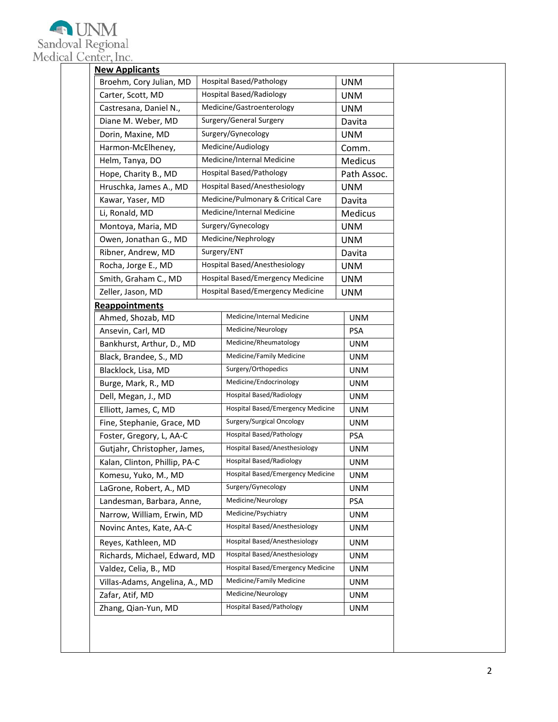

|                                                                   | <b>New Applicants</b>         |                                 |                                               |                |
|-------------------------------------------------------------------|-------------------------------|---------------------------------|-----------------------------------------------|----------------|
|                                                                   | Broehm, Cory Julian, MD       |                                 | <b>Hospital Based/Pathology</b>               | <b>UNM</b>     |
| Carter, Scott, MD                                                 |                               |                                 | <b>Hospital Based/Radiology</b><br><b>UNM</b> |                |
| Castresana, Daniel N.,                                            |                               |                                 | Medicine/Gastroenterology                     | <b>UNM</b>     |
|                                                                   | Diane M. Weber, MD            |                                 | Surgery/General Surgery                       | Davita         |
|                                                                   | Dorin, Maxine, MD             |                                 | Surgery/Gynecology                            | <b>UNM</b>     |
|                                                                   | Harmon-McElheney,             |                                 | Medicine/Audiology                            | Comm.          |
|                                                                   | Helm, Tanya, DO               |                                 | Medicine/Internal Medicine                    | <b>Medicus</b> |
|                                                                   | Hope, Charity B., MD          |                                 | Hospital Based/Pathology                      | Path Assoc.    |
|                                                                   | Hruschka, James A., MD        |                                 | <b>Hospital Based/Anesthesiology</b>          | <b>UNM</b>     |
|                                                                   | Kawar, Yaser, MD              |                                 | Medicine/Pulmonary & Critical Care            | Davita         |
|                                                                   | Li, Ronald, MD                |                                 | Medicine/Internal Medicine                    | Medicus        |
|                                                                   | Montoya, Maria, MD            |                                 | Surgery/Gynecology                            | <b>UNM</b>     |
|                                                                   | Owen, Jonathan G., MD         |                                 | Medicine/Nephrology                           | <b>UNM</b>     |
|                                                                   | Ribner, Andrew, MD            |                                 | Surgery/ENT                                   | Davita         |
|                                                                   | Rocha, Jorge E., MD           |                                 | Hospital Based/Anesthesiology                 | <b>UNM</b>     |
|                                                                   | Smith, Graham C., MD          |                                 | Hospital Based/Emergency Medicine             | <b>UNM</b>     |
|                                                                   | Zeller, Jason, MD             |                                 | Hospital Based/Emergency Medicine             | <b>UNM</b>     |
|                                                                   | <b>Reappointments</b>         |                                 |                                               |                |
|                                                                   | Ahmed, Shozab, MD             |                                 | Medicine/Internal Medicine                    | <b>UNM</b>     |
|                                                                   | Ansevin, Carl, MD             |                                 | Medicine/Neurology                            | <b>PSA</b>     |
|                                                                   | Bankhurst, Arthur, D., MD     |                                 | Medicine/Rheumatology                         | <b>UNM</b>     |
|                                                                   | Black, Brandee, S., MD        |                                 | Medicine/Family Medicine                      | <b>UNM</b>     |
| Blacklock, Lisa, MD<br>Burge, Mark, R., MD<br>Dell, Megan, J., MD |                               | Surgery/Orthopedics             | <b>UNM</b>                                    |                |
|                                                                   |                               | Medicine/Endocrinology          | <b>UNM</b>                                    |                |
|                                                                   |                               | <b>Hospital Based/Radiology</b> | <b>UNM</b>                                    |                |
|                                                                   | Elliott, James, C, MD         |                                 | Hospital Based/Emergency Medicine             | <b>UNM</b>     |
|                                                                   | Fine, Stephanie, Grace, MD    |                                 | Surgery/Surgical Oncology                     | <b>UNM</b>     |
| Foster, Gregory, L, AA-C                                          |                               |                                 | Hospital Based/Pathology                      | PSA            |
|                                                                   | Gutjahr, Christopher, James,  |                                 | Hospital Based/Anesthesiology                 | <b>UNM</b>     |
|                                                                   | Kalan, Clinton, Phillip, PA-C |                                 | <b>Hospital Based/Radiology</b>               | <b>UNM</b>     |
| Komesu, Yuko, M., MD                                              |                               |                                 | Hospital Based/Emergency Medicine             | <b>UNM</b>     |
| LaGrone, Robert, A., MD                                           |                               |                                 | Surgery/Gynecology                            | <b>UNM</b>     |
| Landesman, Barbara, Anne,                                         |                               |                                 | Medicine/Neurology                            | <b>PSA</b>     |
| Narrow, William, Erwin, MD                                        |                               |                                 | Medicine/Psychiatry                           | <b>UNM</b>     |
| Novinc Antes, Kate, AA-C                                          |                               |                                 | Hospital Based/Anesthesiology                 | <b>UNM</b>     |
| Reyes, Kathleen, MD                                               |                               |                                 | Hospital Based/Anesthesiology                 | <b>UNM</b>     |
|                                                                   | Richards, Michael, Edward, MD |                                 | Hospital Based/Anesthesiology                 | <b>UNM</b>     |
|                                                                   | Valdez, Celia, B., MD         |                                 | Hospital Based/Emergency Medicine             | <b>UNM</b>     |
| Villas-Adams, Angelina, A., MD                                    |                               |                                 | Medicine/Family Medicine                      | <b>UNM</b>     |
| Zafar, Atif, MD                                                   |                               |                                 | Medicine/Neurology                            | <b>UNM</b>     |
| Zhang, Qian-Yun, MD                                               |                               |                                 | <b>Hospital Based/Pathology</b>               | <b>UNM</b>     |
|                                                                   |                               |                                 |                                               |                |